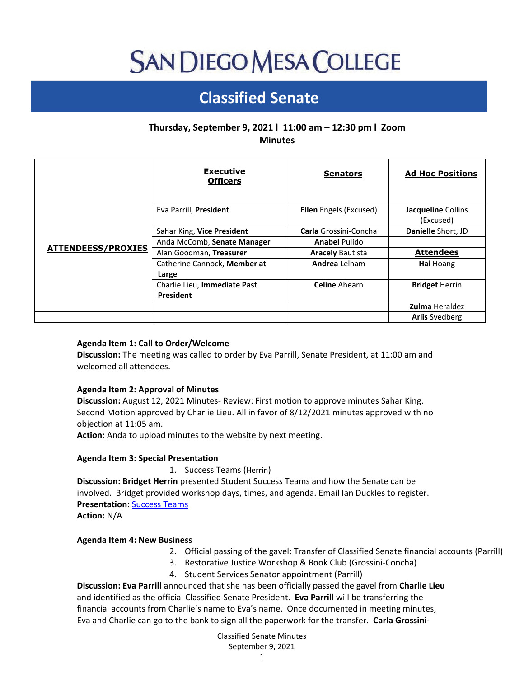# **SAN DIEGO MESA COLLEGE**

# **Classified Senate**

# **Thursday, September 9, 2021 l 11:00 am – 12:30 pm l Zoom Minutes**

|                           | <b>Executive</b><br><b>Officers</b> | <b>Senators</b>         | <b>Ad Hoc Positions</b> |
|---------------------------|-------------------------------------|-------------------------|-------------------------|
| <b>ATTENDEESS/PROXIES</b> | Eva Parrill, President              | Ellen Engels (Excused)  | Jacqueline Collins      |
|                           |                                     |                         | (Excused)               |
|                           | Sahar King, Vice President          | Carla Grossini-Concha   | Danielle Short, JD      |
|                           | Anda McComb, Senate Manager         | <b>Anabel Pulido</b>    |                         |
|                           | Alan Goodman, Treasurer             | <b>Aracely Bautista</b> | <b>Attendees</b>        |
|                           | Catherine Cannock, Member at        | <b>Andrea</b> Lelham    | Hai Hoang               |
|                           | Large                               |                         |                         |
|                           | Charlie Lieu, Immediate Past        | <b>Celine</b> Ahearn    | <b>Bridget Herrin</b>   |
|                           | <b>President</b>                    |                         |                         |
|                           |                                     |                         | <b>Zulma Heraldez</b>   |
|                           |                                     |                         | <b>Arlis Svedberg</b>   |

## **Agenda Item 1: Call to Order/Welcome**

**Discussion:** The meeting was called to order by Eva Parrill, Senate President, at 11:00 am and welcomed all attendees.

#### **Agenda Item 2: Approval of Minutes**

**Discussion:** August 12, 2021 Minutes- Review: First motion to approve minutes Sahar King. Second Motion approved by Charlie Lieu. All in favor of 8/12/2021 minutes approved with no objection at 11:05 am.

**Action:** Anda to upload minutes to the website by next meeting.

#### **Agenda Item 3: Special Presentation**

1. Success Teams (Herrin)

**Discussion: Bridget Herrin** presented Student Success Teams and how the Senate can be involved. Bridget provided workshop days, times, and agenda. Email Ian Duckles to register. **Presentation**: [Success Teams](https://docs.google.com/presentation/d/1467Pp38oWuJE0-LO3xpZR7epCT8YY9cp/edit?usp=sharing&ouid=100799255015347543479&rtpof=true&sd=true)

**Action:** N/A

#### **Agenda Item 4: New Business**

- 2. Official passing of the gavel: Transfer of Classified Senate financial accounts (Parrill)
- 3. Restorative Justice Workshop & Book Club (Grossini-Concha)
- 4. Student Services Senator appointment (Parrill)

**Discussion: Eva Parrill** announced that she has been officially passed the gavel from **Charlie Lieu** and identified as the official Classified Senate President. **Eva Parrill** will be transferring the financial accounts from Charlie's name to Eva's name. Once documented in meeting minutes, Eva and Charlie can go to the bank to sign all the paperwork for the transfer. **Carla Grossini-**

> Classified Senate Minutes September 9, 2021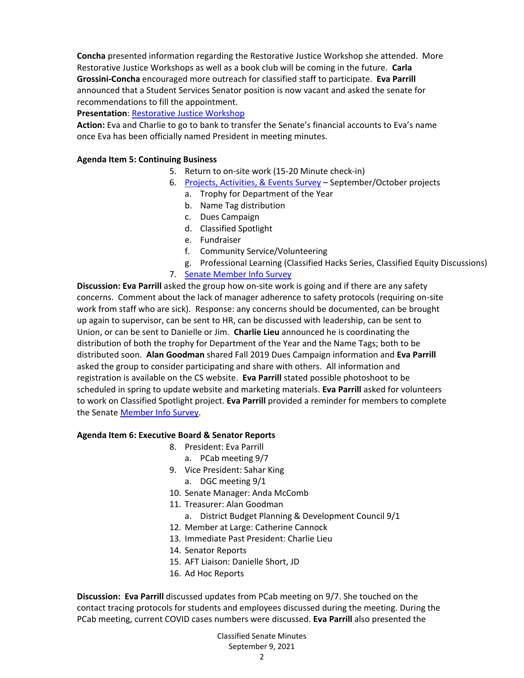**Concha** presented information regarding the Restorative Justice Workshop she attended. More Restorative Justice Workshops as well as a book club will be coming in the future. **Carla Grossini-Concha** encouraged more outreach for classified staff to participate. **Eva Parrill** announced that a Student Services Senator position is now vacant and asked the senate for recommendations to fill the appointment.

# **Presentation**: [Restorative Justice Workshop](https://drive.google.com/file/d/1gLAL8TMWRx4H0LSj7wNUeZmEcm6u0W1A/view?usp=sharing)

**Action:** Eva and Charlie to go to bank to transfer the Senate's financial accounts to Eva's name once Eva has been officially named President in meeting minutes.

## **Agenda Item 5: Continuing Business**

- 5. Return to on-site work (15-20 Minute check-in)
- 6. [Projects, Activities, & Events Survey](https://docs.google.com/forms/d/e/1FAIpQLScWCSltDz9g2SQhCU0k-dKXkdcI-5AgniHQGx44VeSB_e4y9A/viewform) September/October projects
	- a. Trophy for Department of the Year
	- b. Name Tag distribution
	- c. Dues Campaign
	- d. Classified Spotlight
	- e. Fundraiser
	- f. Community Service/Volunteering
	- g. Professional Learning (Classified Hacks Series, Classified Equity Discussions)
- 7. [Senate Member Info Survey](https://docs.google.com/forms/d/e/1FAIpQLSdc4gQTx6QWCcOqjHwBKYV6MAnhirTynhiAkj6YqiUIeKf7Sw/viewform)

**Discussion: Eva Parrill** asked the group how on-site work is going and if there are any safety concerns. Comment about the lack of manager adherence to safety protocols (requiring on-site work from staff who are sick). Response: any concerns should be documented, can be brought up again to supervisor, can be sent to HR, can be discussed with leadership, can be sent to Union, or can be sent to Danielle or Jim. **Charlie Lieu** announced he is coordinating the distribution of both the trophy for Department of the Year and the Name Tags; both to be distributed soon. **Alan Goodman** shared Fall 2019 Dues Campaign information and **Eva Parrill** asked the group to consider participating and share with others. All information and registration is available on the CS website. **Eva Parrill** stated possible photoshoot to be scheduled in spring to update website and marketing materials. **Eva Parrill** asked for volunteers to work on Classified Spotlight project. **Eva Parrill** provided a reminder for members to complete the Senat[e Member Info Survey.](https://docs.google.com/forms/d/e/1FAIpQLSdc4gQTx6QWCcOqjHwBKYV6MAnhirTynhiAkj6YqiUIeKf7Sw/viewform)

#### **Agenda Item 6: Executive Board & Senator Reports**

- 8. President: Eva Parrill
	- a. PCab meeting 9/7
- 9. Vice President: Sahar King
	- a. DGC meeting 9/1
- 10. Senate Manager: Anda McComb
- 11. Treasurer: Alan Goodman
	- a. District Budget Planning & Development Council 9/1
- 12. Member at Large: Catherine Cannock
- 13. Immediate Past President: Charlie Lieu
- 14. Senator Reports
- 15. AFT Liaison: Danielle Short, JD
- 16. Ad Hoc Reports

**Discussion: Eva Parrill** discussed updates from PCab meeting on 9/7. She touched on the contact tracing protocols for students and employees discussed during the meeting. During the PCab meeting, current COVID cases numbers were discussed. **Eva Parrill** also presented the

> Classified Senate Minutes September 9, 2021